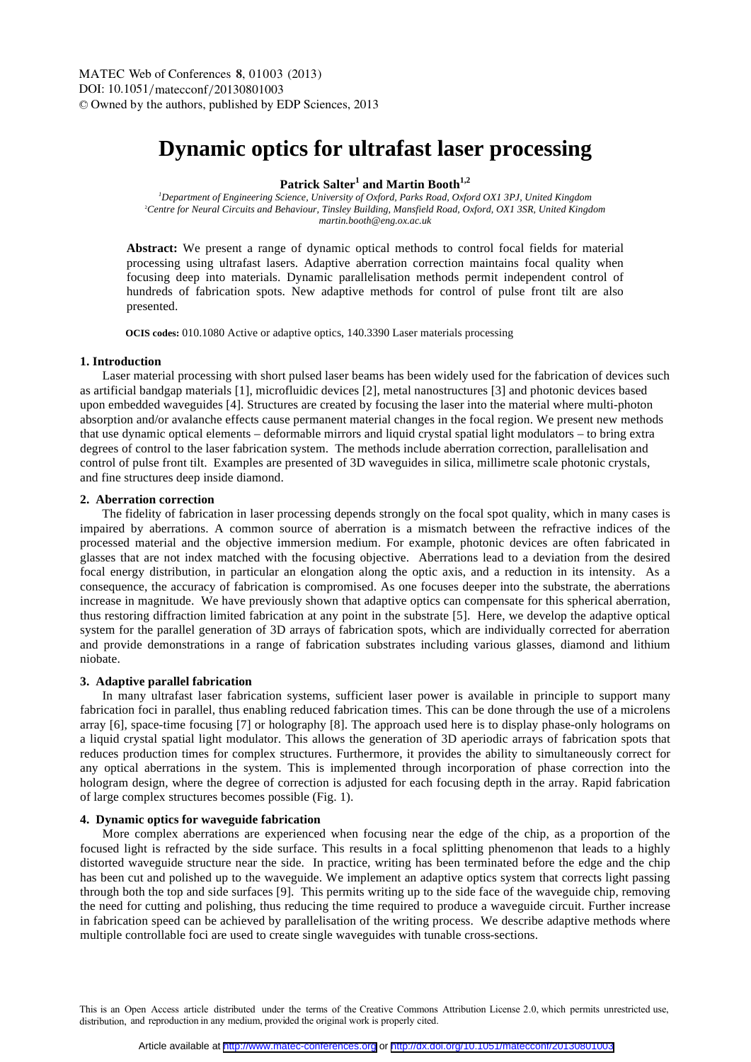# **Dynamic optics for ultrafast laser processing**

## **Patrick Salter<sup>1</sup> and Martin Booth1,2**

*1 Department of Engineering Science, University of Oxford, Parks Road, Oxford OX1 3PJ, United Kingdom* 2 *Centre for Neural Circuits and Behaviour, Tinsley Building, Mansfield Road, Oxford, OX1 3SR, United Kingdom martin.booth@eng.ox.ac.uk*

**Abstract:** We present a range of dynamic optical methods to control focal fields for material processing using ultrafast lasers. Adaptive aberration correction maintains focal quality when focusing deep into materials. Dynamic parallelisation methods permit independent control of hundreds of fabrication spots. New adaptive methods for control of pulse front tilt are also presented.

**OCIS codes:** 010.1080 Active or adaptive optics, 140.3390 Laser materials processing

#### **1. Introduction**

Laser material processing with short pulsed laser beams has been widely used for the fabrication of devices such as artificial bandgap materials [1], microfluidic devices [2], metal nanostructures [3] and photonic devices based upon embedded waveguides [4]. Structures are created by focusing the laser into the material where multi-photon absorption and/or avalanche effects cause permanent material changes in the focal region. We present new methods that use dynamic optical elements – deformable mirrors and liquid crystal spatial light modulators – to bring extra degrees of control to the laser fabrication system. The methods include aberration correction, parallelisation and control of pulse front tilt. Examples are presented of 3D waveguides in silica, millimetre scale photonic crystals, and fine structures deep inside diamond.

## **2. Aberration correction**

The fidelity of fabrication in laser processing depends strongly on the focal spot quality, which in many cases is impaired by aberrations. A common source of aberration is a mismatch between the refractive indices of the processed material and the objective immersion medium. For example, photonic devices are often fabricated in glasses that are not index matched with the focusing objective. Aberrations lead to a deviation from the desired focal energy distribution, in particular an elongation along the optic axis, and a reduction in its intensity. As a consequence, the accuracy of fabrication is compromised. As one focuses deeper into the substrate, the aberrations increase in magnitude. We have previously shown that adaptive optics can compensate for this spherical aberration, thus restoring diffraction limited fabrication at any point in the substrate [5]. Here, we develop the adaptive optical system for the parallel generation of 3D arrays of fabrication spots, which are individually corrected for aberration and provide demonstrations in a range of fabrication substrates including various glasses, diamond and lithium niobate.

## **3. Adaptive parallel fabrication**

In many ultrafast laser fabrication systems, sufficient laser power is available in principle to support many fabrication foci in parallel, thus enabling reduced fabrication times. This can be done through the use of a microlens array [6], space-time focusing [7] or holography [8]. The approach used here is to display phase-only holograms on a liquid crystal spatial light modulator. This allows the generation of 3D aperiodic arrays of fabrication spots that reduces production times for complex structures. Furthermore, it provides the ability to simultaneously correct for any optical aberrations in the system. This is implemented through incorporation of phase correction into the hologram design, where the degree of correction is adjusted for each focusing depth in the array. Rapid fabrication of large complex structures becomes possible (Fig. 1).

## **4. Dynamic optics for waveguide fabrication**

More complex aberrations are experienced when focusing near the edge of the chip, as a proportion of the focused light is refracted by the side surface. This results in a focal splitting phenomenon that leads to a highly distorted waveguide structure near the side. In practice, writing has been terminated before the edge and the chip has been cut and polished up to the waveguide. We implement an adaptive optics system that corrects light passing through both the top and side surfaces [9]. This permits writing up to the side face of the waveguide chip, removing the need for cutting and polishing, thus reducing the time required to produce a waveguide circuit. Further increase in fabrication speed can be achieved by parallelisation of the writing process. We describe adaptive methods where multiple controllable foci are used to create single waveguides with tunable cross-sections.

This is an Open Access article distributed under the terms of the Creative Commons Attribution License 2.0, which permits unrestricted use, distribution, and reproduction in any medium, provided the original work is properly cited.